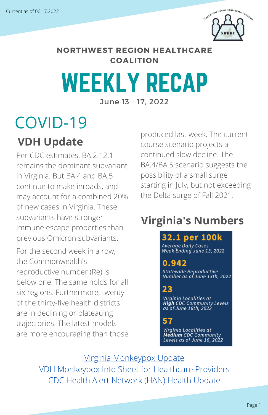

**NORTHWEST REGION HEALTHCARE COALITION**

### WEEKLY RECAP June 13 - 17, 2022

### COVID-19

### **VDH Update**

Per CDC estimates, BA.2.12.1 remains the dominant subvariant in Virginia. But BA.4 and BA.5 continue to make inroads, and may account for a combined 20% of new cases in Virginia. These subvariants have stronger immune escape properties than previous Omicron subvariants.

For the second week in a row, the Commonwealth's reproductive number (Re) is below one. The same holds for all six regions. Furthermore, twenty of the thirty-five health districts are in declining or plateauing trajectories. The latest models are more encouraging than those produced last week. The current course scenario projects a continued slow decline. The BA.4/BA.5 scenario suggests the possibility of a small surge starting in July, but not exceeding the Delta surge of Fall 2021.

### **Virginia's Numbers**

#### 32.1 per 100k

**Average Daily Cases** Week Ending June 13, 2022

### 0.942

Statewide Reproductive<br>Number as of June 13th, 2022

### 23

Virginia Localities at<br>**High** CDC Community Levels<br>as of June 16th, 2022

### 57

Virginia Localities at **Medium** CDC Community<br>Levels as of June 16, 2022

[Virginia Monkeypox Update](https://drive.google.com/file/d/1b9M7RlcyC8FrAiPPDqNV1UEfBNe9E0Kh/view?usp=sharing) [VDH Monkeypox Info Sheet for Healthcare Providers](https://drive.google.com/file/d/1fmCsitWFvVeWHT44jFGIdFHM2J9n04O2/view?usp=sharing) [CDC Health Alert Network \(HAN\) Health Update](https://emergency.cdc.gov/han/2022/pdf/CDC_HAN_468.pdf?ACSTrackingID=USCDC_511-DM84266&ACSTrackingLabel=HAN%20468%20-%20COCA%20Subscribers&deliveryName=USCDC_511-DM84266)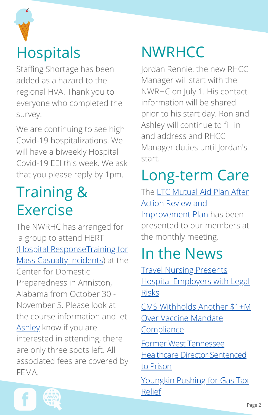

Staffing Shortage has been added as a hazard to the regional HVA. Thank you to everyone who completed the survey.

We are continuing to see high Covid-19 hospitalizations. We will have a biweekly Hospital Covid-19 EEI this week. We ask that you please reply by 1pm.

### Training & Exercise

The NWRHC has arranged for a group to attend HERT (Hospital ResponseTraining for [Mass Casualty Incidents\) at the](https://cdp.dhs.gov/training/course/PER-902) Center for Domestic Preparedness in Anniston, Alabama from October 30 - November 5. Please look at the course information and let [Ashley](mailto:exercise_training@nwrhcc.org) know if you are interested in attending, there are only three spots left. All associated fees are covered by FEMA.

### **NWRHCC**

Jordan Rennie, the new RHCC Manager will start with the NWRHC on July 1. His contact information will be shared prior to his start day. Ron and Ashley will continue to fill in and address and RHCC Manager duties until Jordan's start.

## Long-term Care

[The LTC Mutual Aid Plan After](https://drive.google.com/file/d/1cwoBHoeQMm2sIOFIeOL9DPm1xTZ1WbrF/view?usp=sharing) Action Review and **Improvement Plan** has been presented to our members at the monthly meeting.

### In the News

Travel Nursing Presents [Hospital Employers with Legal](https://www.beckershospitalreview.com/legal-regulatory-issues/travel-nursing-presents-hospital-employers-with-legal-risks.html?origin=BHRE&utm_source=BHRE&utm_medium=email&utm_content=newsletter&oly_enc_id=2471F6104245C8W) Risks

[CMS Withholds Another \\$1+M](https://www.mcknights.com/news/cms-withholds-another-1-plus-million-over-vaccine-mandate-compliance/?utm_source=newsletter&utm_medium=email&utm_campaign=MLT_DailyUpdate_20220614&hmSubId=9qGD0EXLFZU1&hmEmail=k8p3Yjmk9JPoIuc06ICQ4q8W1eIWr16hVR6GZKgK9t01&email_hash=d584b74cd648e5e6f215ed02b8f5c3cc&mpweb=1326-28358-875180) Over Vaccine Mandate **Compliance** 

Former West [Tennessee](https://www.wbbjtv.com/2022/06/16/former-west-tennessee-healthcare-director-sentenced-to-prison/) Healthcare Director Sentenced

to Prison

[Youngkin Pushing for Gas Tax](https://www.nbc29.com/2022/06/16/gov-youngkin-pushing-gas-tax-relief/) Relief